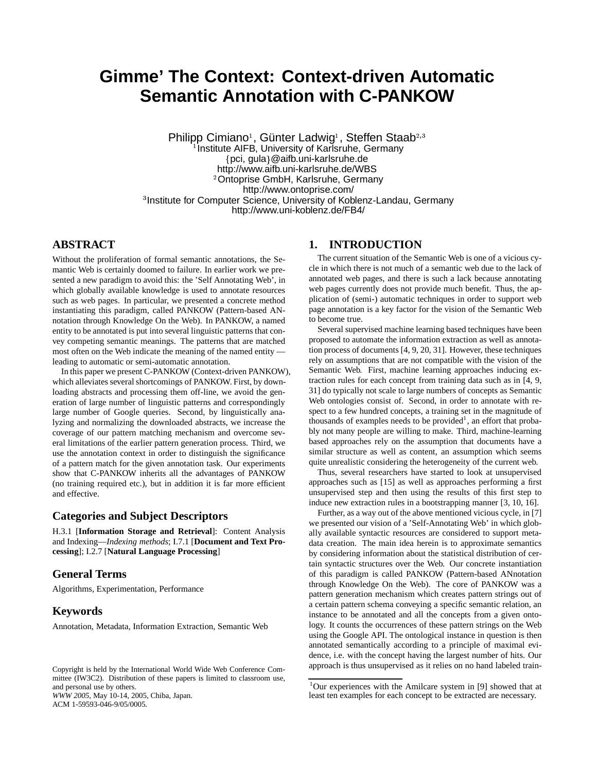# **Gimme' The Context: Context-driven Automatic Semantic Annotation with C-PANKOW**

Philipp Cimiano<sup>1</sup>, Günter Ladwig<sup>1</sup>, Steffen Staab<sup>2,3</sup> <sup>1</sup> Institute AIFB, University of Karlsruhe, Germany pci, gula @aifb.uni-karlsruhe.de <sup>2</sup>Ontoprise GmbH, Karlsruhe, Germany http://www.aifb.uni-karlsruhe.de/WBS http://www.ontoprise.com/ <sup>3</sup> Institute for Computer Science, University of Koblenz-Landau, Germany http://www.uni-koblenz.de/FB4/

## **ABSTRACT**

Without the proliferation of formal semantic annotations, the Semantic Web is certainly doomed to failure. In earlier work we presented a new paradigm to avoid this: the 'Self Annotating Web', in which globally available knowledge is used to annotate resources such as web pages. In particular, we presented a concrete method instantiating this paradigm, called PANKOW (Pattern-based ANnotation through Knowledge On the Web). In PANKOW, a named entity to be annotated is put into several linguistic patterns that convey competing semantic meanings. The patterns that are matched most often on the Web indicate the meaning of the named entity leading to automatic or semi-automatic annotation.

In this paper we present C-PANKOW (Context-driven PANKOW), which alleviates several shortcomings of PANKOW. First, by downloading abstracts and processing them off-line, we avoid the generation of large number of linguistic patterns and correspondingly large number of Google queries. Second, by linguistically analyzing and normalizing the downloaded abstracts, we increase the coverage of our pattern matching mechanism and overcome several limitations of the earlier pattern generation process. Third, we use the annotation context in order to distinguish the significance of a pattern match for the given annotation task. Our experiments show that C-PANKOW inherits all the advantages of PANKOW (no training required etc.), but in addition it is far more efficient and effective.

## **Categories and Subject Descriptors**

H.3.1 [**Information Storage and Retrieval**]: Content Analysis and Indexing—*Indexing methods*; I.7.1 [**Document and Text Processing**]; I.2.7 [**Natural Language Processing**]

# **General Terms**

Algorithms, Experimentation, Performance

# **Keywords**

Annotation, Metadata, Information Extraction, Semantic Web

## **1. INTRODUCTION**

The current situation of the Semantic Web is one of a vicious cycle in which there is not much of a semantic web due to the lack of annotated web pages, and there is such a lack because annotating web pages currently does not provide much benefit. Thus, the application of (semi-) automatic techniques in order to support web page annotation is a key factor for the vision of the Semantic Web to become true.

Several supervised machine learning based techniques have been proposed to automate the information extraction as well as annotation process of documents [4, 9, 20, 31]. However, these techniques rely on assumptions that are not compatible with the vision of the Semantic Web. First, machine learning approaches inducing extraction rules for each concept from training data such as in [4, 9, 31] do typically not scale to large numbers of concepts as Semantic Web ontologies consist of. Second, in order to annotate with respect to a few hundred concepts, a training set in the magnitude of thousands of examples needs to be provided<sup>1</sup>, an effort that probably not many people are willing to make. Third, machine-learning based approaches rely on the assumption that documents have a similar structure as well as content, an assumption which seems quite unrealistic considering the heterogeneity of the current web.

Thus, several researchers have started to look at unsupervised approaches such as [15] as well as approaches performing a first unsupervised step and then using the results of this first step to induce new extraction rules in a bootstrapping manner [3, 10, 16].

Further, as a way out of the above mentioned vicious cycle, in [7] we presented our vision of a 'Self-Annotating Web' in which globally available syntactic resources are considered to support metadata creation. The main idea herein is to approximate semantics by considering information about the statistical distribution of certain syntactic structures over the Web. Our concrete instantiation of this paradigm is called PANKOW (Pattern-based ANnotation through Knowledge On the Web). The core of PANKOW was a pattern generation mechanism which creates pattern strings out of a certain pattern schema conveying a specific semantic relation, an instance to be annotated and all the concepts from a given ontology. It counts the occurrences of these pattern strings on the Web using the Google API. The ontological instance in question is then annotated semantically according to a principle of maximal evidence, i.e. with the concept having the largest number of hits. Our approach is thus unsupervised as it relies on no hand labeled train-

Copyright is held by the International World Wide Web Conference Committee (IW3C2). Distribution of these papers is limited to classroom use, and personal use by others. *WWW 2005*, May 10-14, 2005, Chiba, Japan. ACM 1-59593-046-9/05/0005.

 $1$ Our experiences with the Amilcare system in [9] showed that at least ten examples for each concept to be extracted are necessary.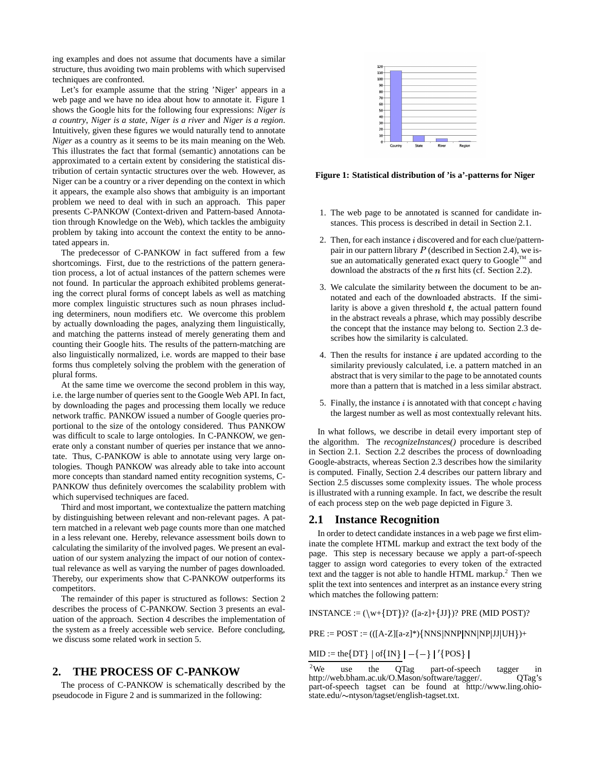ing examples and does not assume that documents have a similar structure, thus avoiding two main problems with which supervised techniques are confronted.

Let's for example assume that the string 'Niger' appears in a web page and we have no idea about how to annotate it. Figure 1 shows the Google hits for the following four expressions: *Niger is a country*, *Niger is a state*, *Niger is a river* and *Niger is a region*. Intuitively, given these figures we would naturally tend to annotate *Niger* as a country as it seems to be its main meaning on the Web. This illustrates the fact that formal (semantic) annotations can be approximated to a certain extent by considering the statistical distribution of certain syntactic structures over the web. However, as Niger can be a country or a river depending on the context in which it appears, the example also shows that ambiguity is an important problem we need to deal with in such an approach. This paper presents C-PANKOW (Context-driven and Pattern-based Annotation through Knowledge on the Web), which tackles the ambiguity problem by taking into account the context the entity to be annotated appears in.

The predecessor of C-PANKOW in fact suffered from a few shortcomings. First, due to the restrictions of the pattern generation process, a lot of actual instances of the pattern schemes were not found. In particular the approach exhibited problems generating the correct plural forms of concept labels as well as matching more complex linguistic structures such as noun phrases including determiners, noun modifiers etc. We overcome this problem by actually downloading the pages, analyzing them linguistically, and matching the patterns instead of merely generating them and counting their Google hits. The results of the pattern-matching are also linguistically normalized, i.e. words are mapped to their base forms thus completely solving the problem with the generation of plural forms.

At the same time we overcome the second problem in this way, i.e. the large number of queries sent to the Google Web API. In fact, by downloading the pages and processing them locally we reduce network traffic. PANKOW issued a number of Google queries proportional to the size of the ontology considered. Thus PANKOW was difficult to scale to large ontologies. In C-PANKOW, we generate only a constant number of queries per instance that we annotate. Thus, C-PANKOW is able to annotate using very large ontologies. Though PANKOW was already able to take into account more concepts than standard named entity recognition systems, C-PANKOW thus definitely overcomes the scalability problem with which supervised techniques are faced.

Third and most important, we contextualize the pattern matching by distinguishing between relevant and non-relevant pages. A pattern matched in a relevant web page counts more than one matched in a less relevant one. Hereby, relevance assessment boils down to calculating the similarity of the involved pages. We present an evaluation of our system analyzing the impact of our notion of contextual relevance as well as varying the number of pages downloaded. Thereby, our experiments show that C-PANKOW outperforms its competitors.

The remainder of this paper is structured as follows: Section 2 describes the process of C-PANKOW. Section 3 presents an evaluation of the approach. Section 4 describes the implementation of the system as a freely accessible web service. Before concluding, we discuss some related work in section 5.

# **2. THE PROCESS OF C-PANKOW**

The process of C-PANKOW is schematically described by the pseudocode in Figure 2 and is summarized in the following:



**Figure 1: Statistical distribution of 'is a'-patterns for Niger**

- 1. The web page to be annotated is scanned for candidate instances. This process is described in detail in Section 2.1.
- 2. Then, for each instance  $i$  discovered and for each clue/patternpair in our pattern library  $P$  (described in Section 2.4), we issue an automatically generated exact query to Google<sup>TM</sup> and download the abstracts of the  $n$  first hits (cf. Section 2.2).
- 3. We calculate the similarity between the document to be annotated and each of the downloaded abstracts. If the similarity is above a given threshold  $t$ , the actual pattern found in the abstract reveals a phrase, which may possibly describe the concept that the instance may belong to. Section 2.3 describes how the similarity is calculated.
- 4. Then the results for instance  $i$  are updated according to the similarity previously calculated, i.e. a pattern matched in an abstract that is very similar to the page to be annotated counts more than a pattern that is matched in a less similar abstract.
- 5. Finally, the instance  $i$  is annotated with that concept  $c$  having the largest number as well as most contextually relevant hits.

In what follows, we describe in detail every important step of the algorithm. The *recognizeInstances()* procedure is described in Section 2.1. Section 2.2 describes the process of downloading Google-abstracts, whereas Section 2.3 describes how the similarity is computed. Finally, Section 2.4 describes our pattern library and Section 2.5 discusses some complexity issues. The whole process is illustrated with a running example. In fact, we describe the result of each process step on the web page depicted in Figure 3.

## **2.1 Instance Recognition**

In order to detect candidate instances in a web page we first eliminate the complete HTML markup and extract the text body of the page. This step is necessary because we apply a part-of-speech tagger to assign word categories to every token of the extracted text and the tagger is not able to handle HTML markup.<sup>2</sup> Then we split the text into sentences and interpret as an instance every string which matches the following pattern:

 $INSTANCE := (\w+{DT})$ ?  $([a-z]+{JJ})$ ? PRE (MID POST)?

 $PRE := POST := ((([A-Z][a-z]^*) \{ NNS | NNP | NN | NP|JJ | UH \}) +$ 

MID := the {DT} | of {IN}  $| - \{-\} |$  '{POS} |

<sup>&</sup>lt;sup>2</sup>We use the QTag part-of-speech tagger in http://web.bham.ac.uk/O.Mason/software/tagger/. OTag's http://web.bham.ac.uk/O.Mason/software/tagger/. part-of-speech tagset can be found at http://www.ling.ohiostate.edu/ ntyson/tagset/english-tagset.txt.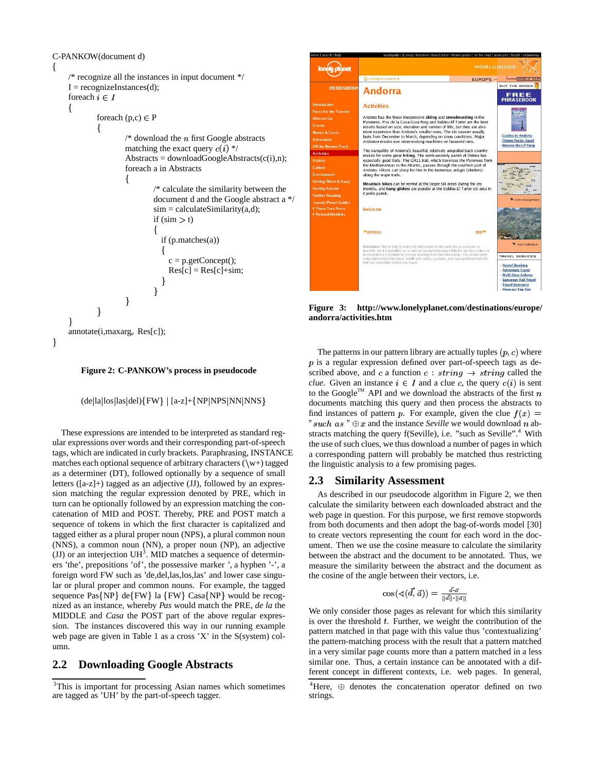#### C-PANKOW(document d)

the contract of the contract of the contract of the contract of the contract of the contract of the contract of

```

/* recognize all the instances in input document */I = recognizeInstances(d);foreach i \in I
                        foreach (p,c) \in P\{/* download the n first Google abstracts
                                                matching the exact query c(i) */
                                                Abstracts = downloadGoogleAbstracts(c(i),n);foreach a in Abstracts

                                                                       /* calculate the similarity between the
                                                                       document d and the Google abstract a */
                                                                       sim = calculateSimilarity(a,d);if (sim > t)
                                                                              if (p.matches(a))
                                                                               \sim . The contract of the contract of the contract of the contract of the contract of the contract of the contract of the contract of the contract of the contract of the contract of the contract of the contract of the co
                                                                                    c = p.getConcept();
                                                                                    Res[c] = Res[c] + sim;\blacksquare . The contract of the contract of the contract of the contract of the contract of the contract of the contract of the contract of the contract of the contract of the contract of the contract of the contract of the 
                                                                         and the contract of the contract of the contract of the contract of the contract of the contract of the contract of the contract of the contract of the contract of the contract of the contract of the contract of the contra
                                                ł
                          \blacksquare . The contract of the contract of the contract of the contract of the contract of the contract of the contract of the contract of the contract of the contract of the contract of the contract of the contract of the 
P
  and the contract of the contract of the contract of the contract of the contract of the contract of the contract of the contract of the contract of the contract of the contract of the contract of the contract of the contra
annotate(i,maxarg<sub>c</sub> Res[c]);
```


(de|la|los|las|del){FW} | [a-z]+{NP|NPS|NN|NNS}

These expressions are intended to be interpreted as standard regular expressions over words and their corresponding part-of-speech tags, which are indicated in curly brackets. Paraphrasing, INSTANCE matches each optional sequence of arbitrary characters  $(\wedge w+)$  tagged as a determiner (DT), followed optionally by a sequence of small letters  $(Ia-z]+)$  tagged as an adjective  $(JJ)$ , followed by an expression matching the regular expression denoted by PRE, which in turn can be optionally followed by an expression matching the concatenation of MID and POST. Thereby, PRE and POST match a sequence of tokens in which the first character is capitalized and tagged either as a plural proper noun (NPS), a plural common noun (NNS), a common noun (NN), a proper noun (NP), an adjective (JJ) or an interjection  $UH<sup>3</sup>$ . MID matches a sequence of determiners 'the', prepositions 'of', the possessive marker *'*, a hyphen '-', a foreign word FW such as 'de,del,las,los,las' and lower case singular or plural proper and common nouns. For example, the tagged sequence Pas{NP} de{FW} la {FW} Casa{NP} would be recognized as an instance, whereby *Pas* would match the PRE, *de la* the MIDDLE and *Casa* the POST part of the above regular expression. The instances discovered this way in our running example web page are given in Table 1 as a cross 'X' in the S(system) column.

# **2.2 Downloading Google Abstracts**

| home   search   help                                                                                                                          | worldquide   lp shop   thorntree   travel ticker   theme quides   on the road   postcards   health   subwwway                                                                                                                                                                                                                                                                                                                                                                                                |                                                                         |                                                                                                                                                                                     |  |  |  |  |
|-----------------------------------------------------------------------------------------------------------------------------------------------|--------------------------------------------------------------------------------------------------------------------------------------------------------------------------------------------------------------------------------------------------------------------------------------------------------------------------------------------------------------------------------------------------------------------------------------------------------------------------------------------------------------|-------------------------------------------------------------------------|-------------------------------------------------------------------------------------------------------------------------------------------------------------------------------------|--|--|--|--|
|                                                                                                                                               | WORLDGUIDE                                                                                                                                                                                                                                                                                                                                                                                                                                                                                                   |                                                                         |                                                                                                                                                                                     |  |  |  |  |
|                                                                                                                                               | A printable version »                                                                                                                                                                                                                                                                                                                                                                                                                                                                                        | <b>EUROPE</b>                                                           | <b>WORLD MAP</b>                                                                                                                                                                    |  |  |  |  |
| destination                                                                                                                                   | <b>Andorra</b>                                                                                                                                                                                                                                                                                                                                                                                                                                                                                               |                                                                         | <b>BUY THE BOOKS</b><br><b>FREE</b><br>PHRASEBOOK                                                                                                                                   |  |  |  |  |
| <b>Introduction</b>                                                                                                                           | <b>Activities</b>                                                                                                                                                                                                                                                                                                                                                                                                                                                                                            |                                                                         |                                                                                                                                                                                     |  |  |  |  |
| <b>Facts for the Traveler</b><br>When to Go<br><b>Events</b><br><b>Money &amp; Costs</b><br><b>Attractions</b><br><b>Off the Beaten Track</b> | Andorra has the finest inexpensive skiing and snowboarding in the<br>Pyrenees. Pas de la Casa-Grau Roig and Soldeu-El Tarter are the best<br>resorts based on size, elevation and number of lifts, but they are also<br>more expensive than Andorra's smaller ones. The ski season usually<br>lasts from December to March, depending on snow conditions. Major<br>Andorran resorts use snow-making machines on favoured runs.<br>The tranquillity of Andorra's beautiful, relatively unspoiled back country | <b>Guides to Andorra</b><br>- Theme Packs-Save!<br>- Browse the LP Shop |                                                                                                                                                                                     |  |  |  |  |
| <b>Activities</b>                                                                                                                             | makes for some great hiking. The north-westerly parish of Ordino has                                                                                                                                                                                                                                                                                                                                                                                                                                         |                                                                         |                                                                                                                                                                                     |  |  |  |  |
| <b>History</b><br>Culture                                                                                                                     | especially good trails. The GR11 trail, which traverses the Pyrenees from<br>the Mediterranean to the Atlantic, passes through the southern part of                                                                                                                                                                                                                                                                                                                                                          |                                                                         |                                                                                                                                                                                     |  |  |  |  |
| <b>Environment</b>                                                                                                                            | Andorra. Hikers can sleep for free in the numerous refugis (shelters)                                                                                                                                                                                                                                                                                                                                                                                                                                        |                                                                         |                                                                                                                                                                                     |  |  |  |  |
| <b>Getting There &amp; Away</b><br><b>Getting Around</b><br><b>Further Reading</b><br><b>Lonely Planet Guides</b>                             | along the major trails.<br>Mountain bikes can be rented at the larger ski areas during the dry<br>months, and hang-gliders are popular at the Soldeu-El Tarter ski area in<br>Canillo parish.                                                                                                                                                                                                                                                                                                                | wiew enlargement                                                        |                                                                                                                                                                                     |  |  |  |  |
| <b>4 Thorn Tree Posts</b><br><b>4 Related Weblinks</b>                                                                                        | back to top                                                                                                                                                                                                                                                                                                                                                                                                                                                                                                  |                                                                         |                                                                                                                                                                                     |  |  |  |  |
|                                                                                                                                               | <b>H</b> previous                                                                                                                                                                                                                                                                                                                                                                                                                                                                                            | next M                                                                  |                                                                                                                                                                                     |  |  |  |  |
|                                                                                                                                               | Disclaimer: We've tried to make the information on this web site as accurate as<br>possible, but it is provided "as is' and we accept no responsibility for any loss, injury or<br>inconvenience sustained by anyone resulting from this information. You should verify<br>critical information like visas, health and safety, customs, and transportation) with the<br>relevant authorities before you travel.                                                                                              |                                                                         | view slideshow<br><b>TRAVEL SERVICES</b><br>- Hostel Booking<br>- Adventure Travel<br>- Multi-Stop Airfares<br>- European Rail Travel<br>- Travel Insurance<br>- Personal Trin Site |  |  |  |  |

**Figure 3: http://www.lonelyplanet.com/destinations/europe/ andorra/activities.htm**

The patterns in our pattern library are actually tuples  $(p, c)$  where  $p$  is a regular expression defined over part-of-speech tags as described above, and c a function  $c : string \rightarrow string$  called the *clue*. Given an instance  $i \in I$  and a clue c, the query  $c(i)$  is sent to the Google<sup>TM</sup> API and we download the abstracts of the first  $n$ documents matching this query and then process the abstracts to find instances of pattern p. For example, given the clue  $f(x) =$ " such as  $"\oplus x$  and the instance *Seville* we would download n abstracts matching the query f(Seville), i.e. "such as Seville".<sup>4</sup> With the use of such clues, we thus download a number of pages in which a corresponding pattern will probably be matched thus restricting the linguistic analysis to a few promising pages.

## **2.3 Similarity Assessment**

As described in our pseudocode algorithm in Figure 2, we then calculate the similarity between each downloaded abstract and the web page in question. For this purpose, we first remove stopwords from both documents and then adopt the bag-of-words model [30] to create vectors representing the count for each word in the document. Then we use the cosine measure to calculate the similarity between the abstract and the document to be annotated. Thus, we measure the similarity between the abstract and the document as the cosine of the angle between their vectors, i.e.

$$
\cos(\sphericalangle(\vec{d},\vec{a})) = \tfrac{\vec{d}\cdot\vec{a}}{\|\vec{d}\| \cdot \|\vec{a}\|}
$$

We only consider those pages as relevant for which this similarity is over the threshold  $t$ . Further, we weight the contribution of the pattern matched in that page with this value thus 'contextualizing' the pattern-matching process with the result that a pattern matched in a very similar page counts more than a pattern matched in a less similar one. Thus, a certain instance can be annotated with a different concept in different contexts, i.e. web pages. In general,

<sup>3</sup>This is important for processing Asian names which sometimes are tagged as 'UH' by the part-of-speech tagger.

 $4$ Here,  $\oplus$  denotes the concatenation operator defined on two strings.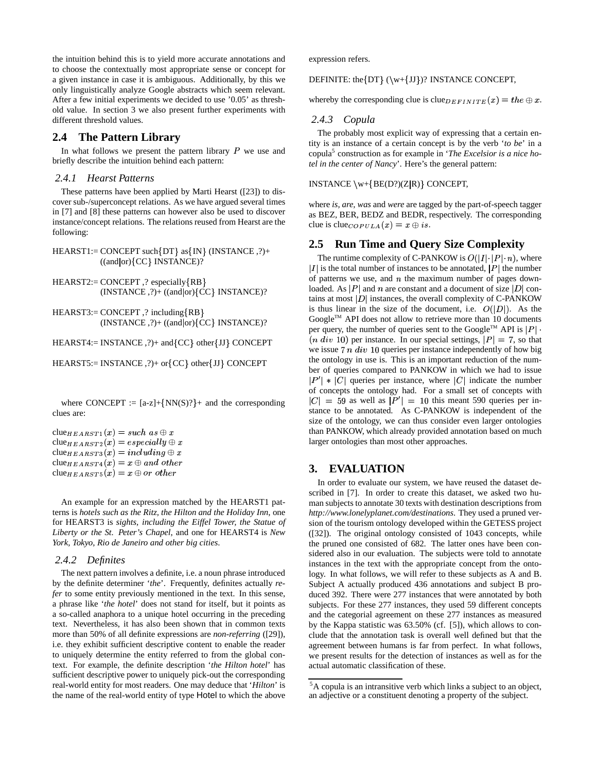the intuition behind this is to yield more accurate annotations and to choose the contextually most appropriate sense or concept for a given instance in case it is ambiguous. Additionally, by this we only linguistically analyze Google abstracts which seem relevant. After a few initial experiments we decided to use '0.05' as threshold value. In section 3 we also present further experiments with different threshold values.

# **2.4 The Pattern Library**

In what follows we present the pattern library  $P$  we use and briefly describe the intuition behind each pattern:

#### *2.4.1 Hearst Patterns*

These patterns have been applied by Marti Hearst ([23]) to discover sub-/superconcept relations. As we have argued several times in [7] and [8] these patterns can however also be used to discover instance/concept relations. The relations reused from Hearst are the following:

 $HEARST1 := CONCEPT such {DT} as {IN} (INSTANCE, ?) +$  $((and or)$  {CC} INSTANCE}?

HEARST2:= CONCEPT ,? especially RB  $(INSTANCE, ?)+( (and | or) {CC} INSTANCE)?$ 

HEARST3:= CONCEPT ,? including RB  $(INSTANCE, ?)+( (and | or) {CC} INSTANCE)?$ 

 $HEARST4 := INSTANCE$ ,  $?$ ) + and  ${CC}$  other  ${JI}$  CONCEPT

HEARST5:= INSTANCE ,?)+ or {CC} other {JJ} CONCEPT

where CONCEPT :=  $[a-z] + \{NN(S)?\}$  and the corresponding clues are:

```
clue_{HEARST1}(x)= such\ as\oplus x{\rm clue}_{HEARST2}(x) = especially \oplus x{\rm clue}_{HEARST3}(x) = including \oplus x{\rm clue}_{HEARST4}(x) = x \oplus and \ other\text{clue}_{HEARST5}(x) = x \oplus or \ other
```
An example for an expression matched by the HEARST1 patterns is *hotels such as the Ritz, the Hilton and the Holiday Inn*, one for HEARST3 is *sights, including the Eiffel Tower, the Statue of Liberty or the St. Peter's Chapel*, and one for HEARST4 is *New York, Tokyo, Rio de Janeiro and other big cities*.

## *2.4.2 Definites*

The next pattern involves a definite, i.e. a noun phrase introduced by the definite determiner '*the*'. Frequently, definites actually *refer* to some entity previously mentioned in the text. In this sense, a phrase like '*the hotel*' does not stand for itself, but it points as a so-called anaphora to a unique hotel occurring in the preceding text. Nevertheless, it has also been shown that in common texts more than 50% of all definite expressions are *non-referring* ([29]), i.e. they exhibit sufficient descriptive content to enable the reader to uniquely determine the entity referred to from the global context. For example, the definite description '*the Hilton hotel*' has sufficient descriptive power to uniquely pick-out the corresponding real-world entity for most readers. One may deduce that '*Hilton*' is the name of the real-world entity of type Hotel to which the above

expression refers.

DEFINITE: the $\{DT\}$  ( $\w+_{JJ}$ )? INSTANCE CONCEPT,

whereby the corresponding clue is clue  $DEFINITE(x) = the \oplus x$ .

## *2.4.3 Copula*

The probably most explicit way of expressing that a certain entity is an instance of a certain concept is by the verb '*to be*' in a copula<sup>5</sup> construction as for example in '*The Excelsior is a nice hotel in the center of Nancy*'. Here's the general pattern:

INSTANCE  $\w+{BE(D?)(Z|R)}$  CONCEPT,

where *is, are, was* and *were* are tagged by the part-of-speech tagger as BEZ, BER, BEDZ and BEDR, respectively. The corresponding clue is clue  $_{COPULA}(x) = x \oplus is$ .

# **2.5 Run Time and Query Size Complexity**

The runtime complexity of C-PANKOW is  $O(|I| \cdot |P| \cdot n)$ , where  $|I|$  is the total number of instances to be annotated,  $|P|$  the number of patterns we use, and  $n$  the maximum number of pages downloaded. As |P| and n are constant and a document of size |D| contains at most  $|D|$  instances, the overall complexity of C-PANKOW is thus linear in the size of the document, i.e.  $O(|D|)$ . As the Google<sup>TM</sup> API does not allow to retrieve more than 10 documents per query, the number of queries sent to the Google<sup>TM</sup> API is  $|P|$ .  $(n \ div 10)$  per instance. In our special settings,  $|P| = 7$ , so that we issue  $7n \ div 10$  queries per instance independently of how big the ontology in use is. This is an important reduction of the number of queries compared to PANKOW in which we had to issue  $|P'| * |C|$  queries per instance, where  $|C|$  indicate the number of concepts the ontology had. For a small set of concepts with  $|C| = 59$  as well as  $|P'| = 10$  this meant 590 queries per instance to be annotated. As C-PANKOW is independent of the size of the ontology, we can thus consider even larger ontologies than PANKOW, which already provided annotation based on much larger ontologies than most other approaches.

# **3. EVALUATION**

In order to evaluate our system, we have reused the dataset described in [7]. In order to create this dataset, we asked two human subjects to annotate 30 texts with destination descriptions from *http://www.lonelyplanet.com/destinations*. They used a pruned version of the tourism ontology developed within the GETESS project ([32]). The original ontology consisted of 1043 concepts, while the pruned one consisted of 682. The latter ones have been considered also in our evaluation. The subjects were told to annotate instances in the text with the appropriate concept from the ontology. In what follows, we will refer to these subjects as A and B. Subject A actually produced 436 annotations and subject B produced 392. There were 277 instances that were annotated by both subjects. For these 277 instances, they used 59 different concepts and the categorial agreement on these 277 instances as measured by the Kappa statistic was 63.50% (cf. [5]), which allows to conclude that the annotation task is overall well defined but that the agreement between humans is far from perfect. In what follows, we present results for the detection of instances as well as for the actual automatic classification of these.

<sup>5</sup>A copula is an intransitive verb which links a subject to an object, an adjective or a constituent denoting a property of the subject.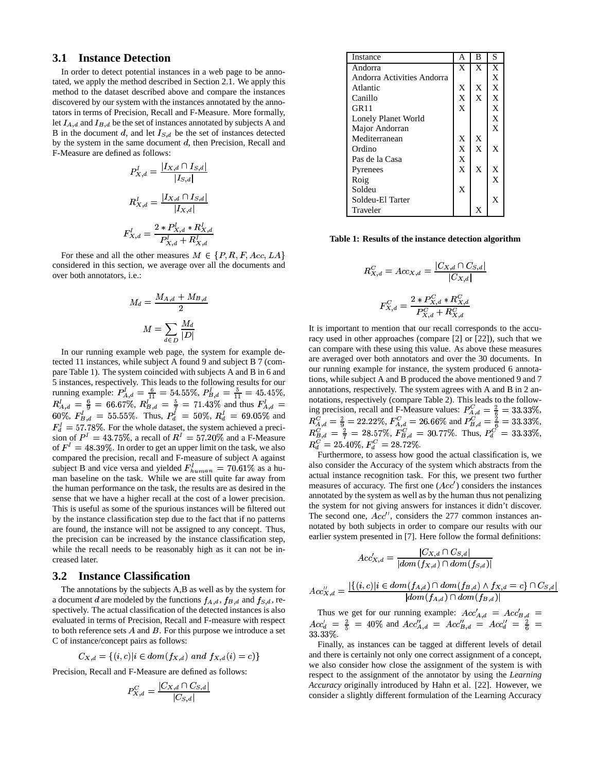## **3.1 Instance Detection**

In order to detect potential instances in a web page to be annotated, we apply the method described in Section 2.1. We apply this method to the dataset described above and compare the instances discovered by our system with the instances annotated by the annotators in terms of Precision, Recall and F-Measure. More formally, let  $I_{A,d}$  and  $I_{B,d}$  be the set of instances annotated by subjects A and B in the document d, and let  $I_{S,d}$  be the set of instances detected by the system in the same document  $d$ , then Precision, Recall and F-Measure are defined as follows:

$$
P_{X,d}^I = \frac{|I_{X,d} \cap I_{S,d}|}{|I_{S,d}|}
$$
  

$$
R_{X,d}^I = \frac{|I_{X,d} \cap I_{S,d}|}{|I_{X,d}|}
$$
  

$$
F_{X,d}^I = \frac{2 * P_{X,d}^I * R_{X,d}^I}{P_{X,d}^I + R_{X,d}^I}
$$

For these and all the other measures  $M \in \{P, R, F, Acc, LA\}$ considered in this section, we average over all the documents and over both annotators, i.e.:

$$
M_d = \frac{M_{A,d} + M_{B,d}}{2}
$$

$$
M = \sum_{d \in D} \frac{M_d}{|D|}
$$

In our running example web page, the system for example detected 11 instances, while subject A found 9 and subject B 7 (compare Table 1). The system coincided with subjects A and B in 6 and 5 instances, respectively. This leads to the following results for our running example:  $P_{A,d}^1 = \frac{6}{11} = 54.55\%$ ,  $P_{B,d}^1 = \frac{5}{11} = 45.45\%$ ,  $R_{A,d}^{I} = \frac{6}{9} = 66.67\%, R_{B,d}^{I} = \frac{5}{7} = 71.43\%$  and thus  $F_{A,d}^{I} = 60\%, F_{B,d}^{I} = 55.55\%.$  Thus,  $P_{d}^{I} = 50\%, R_{d}^{I} = 69.05\%$  and  $P_{B,d}^{I} = 69.05\%$  $F_d^1 = 57.78\%$ . For the whole dataset, the system achieved a precision of  $P^1 = 43.75\%$ , a recall of  $R^1 = 57.20\%$  and a F-Measure of  $F' = 48.39\%$ . In order to get an upper limit on the task, we also compared the precision, recall and F-measure of subject A against subject B and vice versa and yielded  $F_{human}^I = 70.61\%$  as a human baseline on the task. While we are still quite far away from the human performance on the task, the results are as desired in the sense that we have a higher recall at the cost of a lower precision. This is useful as some of the spurious instances will be filtered out by the instance classification step due to the fact that if no patterns are found, the instance will not be assigned to any concept. Thus, the precision can be increased by the instance classification step, while the recall needs to be reasonably high as it can not be increased later.

#### **3.2 Instance Classification**

The annotations by the subjects A,B as well as by the system for a document d are modeled by the functions  $f_{A,d}$ ,  $f_{B,d}$  and  $f_{S,d}$ , respectively. The actual classification of the detected instances is also evaluated in terms of Precision, Recall and F-measure with respect to both reference sets  $A$  and  $B$ . For this purpose we introduce a set C of instance/concept pairs as follows:

$$
C_{X,d} = \{(i, c) | i \in dom(f_{X,d}) \text{ and } f_{X,d}(i) = c\}
$$

Precision, Recall and F-Measure are defined as follows:

$$
P_{X,d}^C = \frac{|C_{X,d} \cap C_{S,d}|}{|C_{S,d}|}
$$

| Instance                   | А              | в              | S            |
|----------------------------|----------------|----------------|--------------|
| Andorra                    | X              | $\mathbf{x}$   | X            |
| Andorra Activities Andorra |                |                | X            |
| Atlantic                   | X              | X              | X            |
| Canillo                    | X              | $\overline{X}$ | X            |
| GR <sub>11</sub>           | $\overline{X}$ |                | X            |
| Lonely Planet World        |                |                | X            |
| Major Andorran             |                |                | $\mathbf X$  |
| Mediterranean              | X              | X              |              |
| Ordino                     | $\bar{X}$      | $\overline{X}$ | X            |
| Pas de la Casa             | $\bar{X}$      |                |              |
| Pyrenees                   | $\overline{X}$ | X              | X            |
| Roig                       |                |                | $\mathbf{x}$ |
| Soldeu                     | X              |                |              |
| Soldeu-El Tarter           |                |                | X            |
| Traveler                   |                | X              |              |

**Table 1: Results of the instance detection algorithm**

$$
R_{X,d}^C = Acc_{X,d} = \frac{|C_{X,d} \cap C_{S,d}|}{|C_{X,d}|}
$$

$$
F_{X,d}^C = \frac{2 * P_{X,d}^C * R_{X,d}^C}{P_{Y,d}^C + R_{Y,d}^C}
$$

ing precision, recall and F-Measure values:  $P_{A,d}^C = \frac{2}{6} = 33.33\%$ ,<br>  $R_{A,d}^C = \frac{2}{9} = 22.22\%$ ,  $F_{A,d}^C = 26.66\%$  and  $P_{B,d}^C = \frac{2}{6} = 33.33\%$ ,<br>  $R_{B,d}^C = \frac{2}{7} = 28.57\%$ ,  $F_{B,d}^C = 30.77\%$ . Thus,  $P_d^C = 33.33\%$ It is important to mention that our recall corresponds to the accuracy used in other approaches (compare [2] or [22]), such that we can compare with these using this value. As above these measures are averaged over both annotators and over the 30 documents. In our running example for instance, the system produced 6 annotations, while subject A and B produced the above mentioned 9 and 7 annotations, respectively. The system agrees with A and B in 2 annotations, respectively (compare Table 2). This leads to the follow- $R_d^C = 25.40\%, F_d^C = 28.72\%.$ 

Furthermore, to assess how good the actual classification is, we also consider the Accuracy of the system which abstracts from the actual instance recognition task. For this, we present two further measures of accuracy. The first one  $(Acc')$  considers the instances annotated by the system as well as by the human thus not penalizing the system for not giving answers for instances it didn't discover. The second one,  $Acc''$ , considers the 277 common instances annotated by both subjects in order to compare our results with our earlier system presented in [7]. Here follow the formal definitions:

$$
Acc_{X,d}' = \frac{|C_{X,d} \cap C_{S,d}|}{|dom(f_{X,d}) \cap dom(f_{S,d})|}
$$

$$
Acc_{X,d}'' = \frac{|\{(i, c)|i \in dom(f_{A,d}) \cap dom(f_{B,d}) \land f_{X,d} = c\} \cap C_{S,d}|}{|dom(f_{A,d}) \cap dom(f_{B,d})|}
$$

Thus we get for our running example:  $Acc'_{A,d} = Acc'_{B,d}$  $Acc'_{d} = \frac{2}{5} = 40\%$  and  $Acc''_{A,d} = Acc''_{B,d} = Acc''_{d} = \frac{2}{6} =$ 333%.

Finally, as instances can be tagged at different levels of detail and there is certainly not only one correct assignment of a concept, we also consider how close the assignment of the system is with respect to the assignment of the annotator by using the *Learning Accuracy* originally introduced by Hahn et al. [22]. However, we consider a slightly different formulation of the Learning Accuracy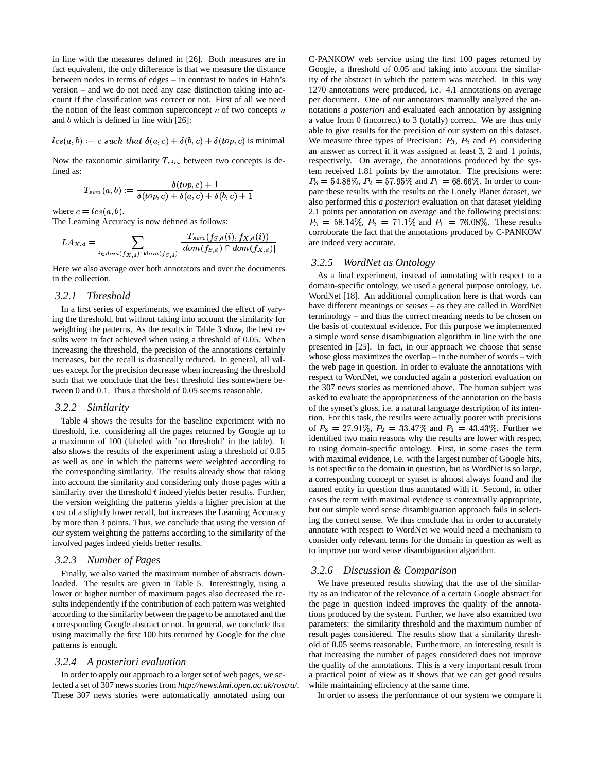in line with the measures defined in [26]. Both measures are in fact equivalent, the only difference is that we measure the distance between nodes in terms of edges – in contrast to nodes in Hahn's version – and we do not need any case distinction taking into account if the classification was correct or not. First of all we need the notion of the least common superconcept  $c$  of two concepts  $a$ and  $b$  which is defined in line with  $[26]$ :

 $lcs(a,b):=c \ such \ that \ \delta(a,c)+\delta(b,c)+\delta(top,c) \ \text{is minimal}$ 

Now the taxonomic similarity  $T_{sim}$  between two concepts is defined as:

$$
T_{sim}(a,b):=\frac{\delta (top,c)+1}{\delta (top,c)+\delta (a,c)+\delta (b,c)+1}
$$

where  $c = lcs(a, b)$ .

The Learning Accuracy is now defined as follows:

$$
LA_{X,d} = \sum_{i \in dom(f_{X,d}) \cap dom(f_{S,d})} \frac{T_{sim}(f_{S,d}(i), f_{X,d}(i))}{|dom(f_{S,d}) \cap dom(f_{X,d})|}
$$

Here we also average over both annotators and over the documents in the collection.

#### *3.2.1 Threshold*

In a first series of experiments, we examined the effect of varying the threshold, but without taking into account the similarity for weighting the patterns. As the results in Table 3 show, the best results were in fact achieved when using a threshold of 0.05. When increasing the threshold, the precision of the annotations certainly increases, but the recall is drastically reduced. In general, all values except for the precision decrease when increasing the threshold such that we conclude that the best threshold lies somewhere between 0 and 0.1. Thus a threshold of 0.05 seems reasonable.

#### *3.2.2 Similarity*

Table 4 shows the results for the baseline experiment with no threshold, i.e. considering all the pages returned by Google up to a maximum of 100 (labeled with 'no threshold' in the table). It also shows the results of the experiment using a threshold of 0.05 as well as one in which the patterns were weighted according to the corresponding similarity. The results already show that taking into account the similarity and considering only those pages with a similarity over the threshold  $t$  indeed yields better results. Further, the version weighting the patterns yields a higher precision at the cost of a slightly lower recall, but increases the Learning Accuracy by more than 3 points. Thus, we conclude that using the version of our system weighting the patterns according to the similarity of the involved pages indeed yields better results.

#### *3.2.3 Number of Pages*

Finally, we also varied the maximum number of abstracts downloaded. The results are given in Table 5. Interestingly, using a lower or higher number of maximum pages also decreased the results independently if the contribution of each pattern was weighted according to the similarity between the page to be annotated and the corresponding Google abstract or not. In general, we conclude that using maximally the first 100 hits returned by Google for the clue patterns is enough.

# *3.2.4 A posteriori evaluation*

In order to apply our approach to a larger set of web pages, we selected a set of 307 news storiesfrom *http://news.kmi.open.ac.uk/rostra/*. These 307 news stories were automatically annotated using our

C-PANKOW web service using the first 100 pages returned by Google, a threshold of 0.05 and taking into account the similarity of the abstract in which the pattern was matched. In this way 1270 annotations were produced, i.e. 4.1 annotations on average per document. One of our annotators manually analyzed the annotations *a posteriori* and evaluated each annotation by assigning a value from 0 (incorrect) to 3 (totally) correct. We are thus only able to give results for the precision of our system on this dataset. We measure three types of Precision:  $P_3$ ,  $P_2$  and  $P_1$  considering an answer as correct if it was assigned at least 3, 2 and 1 points, respectively. On average, the annotations produced by the system received 1.81 points by the annotator. The precisions were:  $P_3 = 54.88\%, P_2 = 57.95\%$  and  $P_1 = 68.66\%.$  In order to compare these results with the results on the Lonely Planet dataset, we also performed this *a posteriori* evaluation on that dataset yielding 2.1 points per annotation on average and the following precisions:  $P_3 = 58.14\%, P_2 = 71.1\%$  and  $P_1 = 76.08\%$ . These results corroborate the fact that the annotations produced by C-PANKOW are indeed very accurate.

#### *3.2.5 WordNet as Ontology*

As a final experiment, instead of annotating with respect to a domain-specific ontology, we used a general purpose ontology, i.e. WordNet [18]. An additional complication here is that words can have different meanings or *senses* – as they are called in WordNet terminology – and thus the correct meaning needs to be chosen on the basis of contextual evidence. For this purpose we implemented a simple word sense disambiguation algorithm in line with the one presented in [25]. In fact, in our approach we choose that sense whose gloss maximizes the overlap – in the number of words – with the web page in question. In order to evaluate the annotations with respect to WordNet, we conducted again a posteriori evaluation on the 307 news stories as mentioned above. The human subject was asked to evaluate the appropriateness of the annotation on the basis of the synset's gloss, i.e. a natural language description of its intention. For this task, the results were actually poorer with precisions of  $P_3 = 27.91\%, P_2 = 33.47\%$  and  $P_1 = 43.43\%$ . Further we identified two main reasons why the results are lower with respect to using domain-specific ontology. First, in some cases the term with maximal evidence, i.e. with the largest number of Google hits, is not specific to the domain in question, but as WordNet is so large, a corresponding concept or synset is almost always found and the named entity in question thus annotated with it. Second, in other cases the term with maximal evidence is contextually appropriate, but our simple word sense disambiguation approach fails in selecting the correct sense. We thus conclude that in order to accurately annotate with respect to WordNet we would need a mechanism to consider only relevant terms for the domain in question as well as to improve our word sense disambiguation algorithm.

#### *3.2.6 Discussion & Comparison*

We have presented results showing that the use of the similarity as an indicator of the relevance of a certain Google abstract for the page in question indeed improves the quality of the annotations produced by the system. Further, we have also examined two parameters: the similarity threshold and the maximum number of result pages considered. The results show that a similarity threshold of 0.05 seems reasonable. Furthermore, an interesting result is that increasing the number of pages considered does not improve the quality of the annotations. This is a very important result from a practical point of view as it shows that we can get good results while maintaining efficiency at the same time.

In order to assess the performance of our system we compare it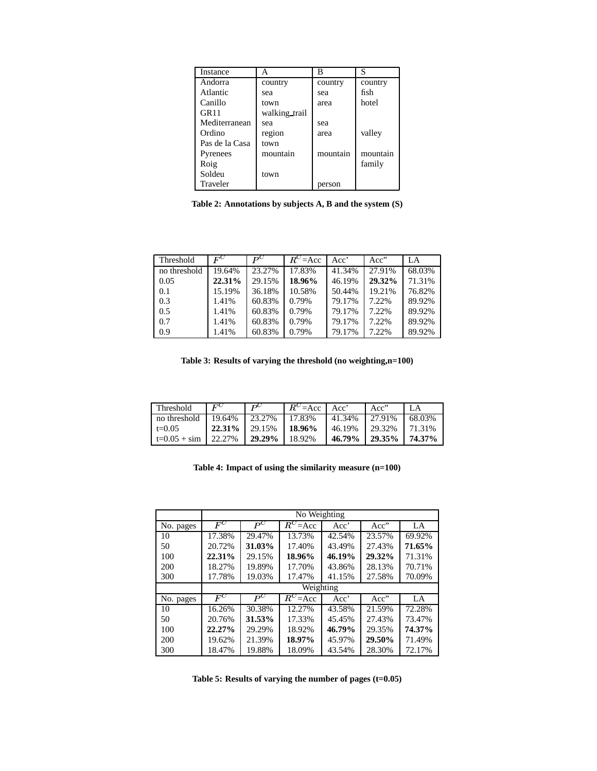| Instance         | A             | в        | S        |
|------------------|---------------|----------|----------|
| Andorra          | country       | country  | country  |
| Atlantic         | sea           | sea      | fish     |
| Canillo          | town          | area     | hotel    |
| GR <sub>11</sub> | walking trail |          |          |
| Mediterranean    | sea           | sea      |          |
| Ordino           | region        | area     | valley   |
| Pas de la Casa   | town          |          |          |
| Pyrenees         | mountain      | mountain | mountain |
| Roig             |               |          | family   |
| Soldeu           | town          |          |          |
| Traveler         |               | person   |          |

**Table 2: Annotations by subjects A, B and the system (S)**

| Threshold    | $F^C$  | $P^C$  | $R^{C} = Acc$ | Acc'   | Acc"   | LA.    |
|--------------|--------|--------|---------------|--------|--------|--------|
| no threshold | 19.64% | 23.27% | 17.83%        | 41.34% | 27.91% | 68.03% |
| 0.05         | 22.31% | 29.15% | 18.96%        | 46.19% | 29.32% | 71.31% |
| 0.1          | 15.19% | 36.18% | 10.58%        | 50.44% | 19.21% | 76.82% |
| 0.3          | 1.41%  | 60.83% | 0.79%         | 79.17% | 7.22%  | 89.92% |
| 0.5          | 1.41%  | 60.83% | 0.79%         | 79.17% | 7.22%  | 89.92% |
| 0.7          | 1.41%  | 60.83% | 0.79%         | 79.17% | 7.22%  | 89.92% |
| 0.9          | 1.41%  | 60.83% | 0.79%         | 79.17% | 7.22%  | 89.92% |

**Table 3: Results of varying the threshold (no weighting,n=100)**

| Threshold             | $E^C$  | DU     | $R^{C} = Acc$ | Acc'   | Acc"   | LA     |
|-----------------------|--------|--------|---------------|--------|--------|--------|
| no threshold          | 19.64% | 23.27% | 17.83%        | 41.34% | 27.91% | 68.03% |
| $t=0.05$              | 22.31% | 29.15% | 18.96%        | 46.19% | 29.32% | 71.31% |
| $t=0.05 + \text{sim}$ | 22.27% | 29.29% | 18.92%        | 46.79% | 29.35% | 74.37% |

**Table 4: Impact of using the similarity measure (n=100)**

|           | No Weighting     |        |              |        |        |        |
|-----------|------------------|--------|--------------|--------|--------|--------|
| No. pages | $\overline{F}^C$ | $P^C$  | $R^{C}$ =Acc | Acc'   | Acc"   | LA     |
| 10        | 17.38%           | 29.47% | 13.73%       | 42.54% | 23.57% | 69.92% |
| 50        | 20.72%           | 31.03% | 17.40%       | 43.49% | 27.43% | 71.65% |
| 100       | 22.31%           | 29.15% | 18.96%       | 46.19% | 29.32% | 71.31% |
| 200       | 18.27%           | 19.89% | 17.70%       | 43.86% | 28.13% | 70.71% |
| 300       | 17.78%           | 19.03% | 17.47%       | 41.15% | 27.58% | 70.09% |
|           | Weighting        |        |              |        |        |        |
| No. pages | $F^C$            | $P^C$  | $R^C = Acc$  | Acc'   | Acc"   | $L_A$  |
| 10        | 16.26%           | 30.38% | 12.27%       | 43.58% | 21.59% | 72.28% |
| 50        | 20.76%           | 31.53% | 17.33%       | 45.45% | 27.43% | 73.47% |
| 100       | 22.27%           | 29.29% | 18.92%       | 46.79% | 29.35% | 74.37% |
| 200       | 19.62%           | 21.39% | 18.97%       | 45.97% | 29.50% | 71.49% |
| 300       | 18.47%           | 19.88% | 18.09%       | 43.54% | 28.30% | 72.17% |

**Table 5: Results of varying the number of pages (t=0.05)**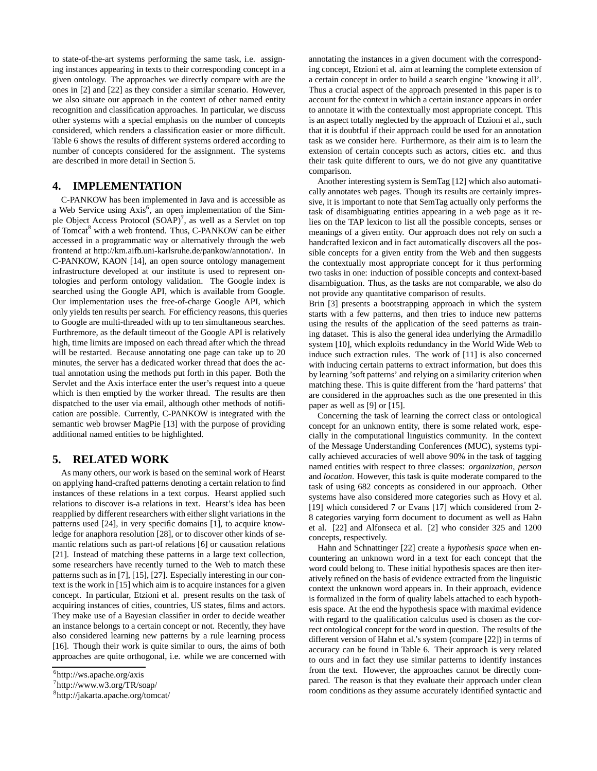to state-of-the-art systems performing the same task, i.e. assigning instances appearing in texts to their corresponding concept in a given ontology. The approaches we directly compare with are the ones in [2] and [22] as they consider a similar scenario. However, we also situate our approach in the context of other named entity recognition and classification approaches. In particular, we discuss other systems with a special emphasis on the number of concepts considered, which renders a classification easier or more difficult. Table 6 shows the results of different systems ordered according to number of concepts considered for the assignment. The systems are described in more detail in Section 5.

# **4. IMPLEMENTATION**

C-PANKOW has been implemented in Java and is accessible as a Web Service using Axis<sup>6</sup>, an open implementation of the Simple Object Access Protocol (SOAP)<sup>7</sup>, as well as a Servlet on top of Tomcat<sup>8</sup> with a web frontend. Thus, C-PANKOW can be either accessed in a programmatic way or alternatively through the web frontend at http://km.aifb.uni-karlsruhe.de/pankow/annotation/. In C-PANKOW, KAON [14], an open source ontology management infrastructure developed at our institute is used to represent ontologies and perform ontology validation. The Google index is searched using the Google API, which is available from Google. Our implementation uses the free-of-charge Google API, which only yields ten results persearch. For efficiency reasons, this queries to Google are multi-threaded with up to ten simultaneous searches. Furthremore, as the default timeout of the Google API is relatively high, time limits are imposed on each thread after which the thread will be restarted. Because annotating one page can take up to 20 minutes, the server has a dedicated worker thread that does the actual annotation using the methods put forth in this paper. Both the Servlet and the Axis interface enter the user's request into a queue which is then emptied by the worker thread. The results are then dispatched to the user via email, although other methods of notification are possible. Currently, C-PANKOW is integrated with the semantic web browser MagPie [13] with the purpose of providing additional named entities to be highlighted.

# **5. RELATED WORK**

As many others, our work is based on the seminal work of Hearst on applying hand-crafted patterns denoting a certain relation to find instances of these relations in a text corpus. Hearst applied such relations to discover is-a relations in text. Hearst's idea has been reapplied by different researchers with either slight variations in the patterns used [24], in very specific domains [1], to acquire knowledge for anaphora resolution [28], or to discover other kinds of semantic relations such as part-of relations [6] or causation relations [21]. Instead of matching these patterns in a large text collection, some researchers have recently turned to the Web to match these patterns such as in [7], [15], [27]. Especially interesting in our context is the work in [15] which aim is to acquire instances for a given concept. In particular, Etzioni et al. present results on the task of acquiring instances of cities, countries, US states, films and actors. They make use of a Bayesian classifier in order to decide weather an instance belongs to a certain concept or not. Recently, they have also considered learning new patterns by a rule learning process [16]. Though their work is quite similar to ours, the aims of both approaches are quite orthogonal, i.e. while we are concerned with annotating the instances in a given document with the corresponding concept, Etzioni et al. aim at learning the complete extension of a certain concept in order to build a search engine 'knowing it all'. Thus a crucial aspect of the approach presented in this paper is to account for the context in which a certain instance appears in order to annotate it with the contextually most appropriate concept. This is an aspect totally neglected by the approach of Etzioni et al., such that it is doubtful if their approach could be used for an annotation task as we consider here. Furthermore, as their aim is to learn the extension of certain concepts such as actors, cities etc. and thus their task quite different to ours, we do not give any quantitative comparison.

Another interesting system is SemTag [12] which also automatically annotates web pages. Though its results are certainly impressive, it is important to note that SemTag actually only performs the task of disambiguating entities appearing in a web page as it relies on the TAP lexicon to list all the possible concepts, senses or meanings of a given entity. Our approach does not rely on such a handcrafted lexicon and in fact automatically discovers all the possible concepts for a given entity from the Web and then suggests the contextually most appropriate concept for it thus performing two tasks in one: induction of possible concepts and context-based disambiguation. Thus, as the tasks are not comparable, we also do not provide any quantitative comparison of results.

Brin [3] presents a bootstrapping approach in which the system starts with a few patterns, and then tries to induce new patterns using the results of the application of the seed patterns as training dataset. This is also the general idea underlying the Armadillo system [10], which exploits redundancy in the World Wide Web to induce such extraction rules. The work of [11] is also concerned with inducing certain patterns to extract information, but does this by learning 'soft patterns' and relying on a similarity criterion when matching these. This is quite different from the 'hard patterns' that are considered in the approaches such as the one presented in this paper as well as [9] or [15].

Concerning the task of learning the correct class or ontological concept for an unknown entity, there is some related work, especially in the computational linguistics community. In the context of the Message Understanding Conferences (MUC), systems typically achieved accuracies of well above 90% in the task of tagging named entities with respect to three classes: *organization*, *person* and *location*. However, this task is quite moderate compared to the task of using 682 concepts as considered in our approach. Other systems have also considered more categories such as Hovy et al. [19] which considered 7 or Evans [17] which considered from 2- 8 categories varying form document to document as well as Hahn et al. [22] and Alfonseca et al. [2] who consider 325 and 1200 concepts, respectively.

Hahn and Schnattinger [22] create a *hypothesis space* when encountering an unknown word in a text for each concept that the word could belong to. These initial hypothesis spaces are then iteratively refined on the basis of evidence extracted from the linguistic context the unknown word appears in. In their approach, evidence is formalized in the form of quality labels attached to each hypothesis space. At the end the hypothesis space with maximal evidence with regard to the qualification calculus used is chosen as the correct ontological concept for the word in question. The results of the different version of Hahn et al.'s system (compare [22]) in terms of accuracy can be found in Table 6. Their approach is very related to ours and in fact they use similar patterns to identify instances from the text. However, the approaches cannot be directly compared. The reason is that they evaluate their approach under clean room conditions as they assume accurately identified syntactic and

<sup>6</sup> http://ws.apache.org/axis

<sup>7</sup> http://www.w3.org/TR/soap/

<sup>8</sup> http://jakarta.apache.org/tomcat/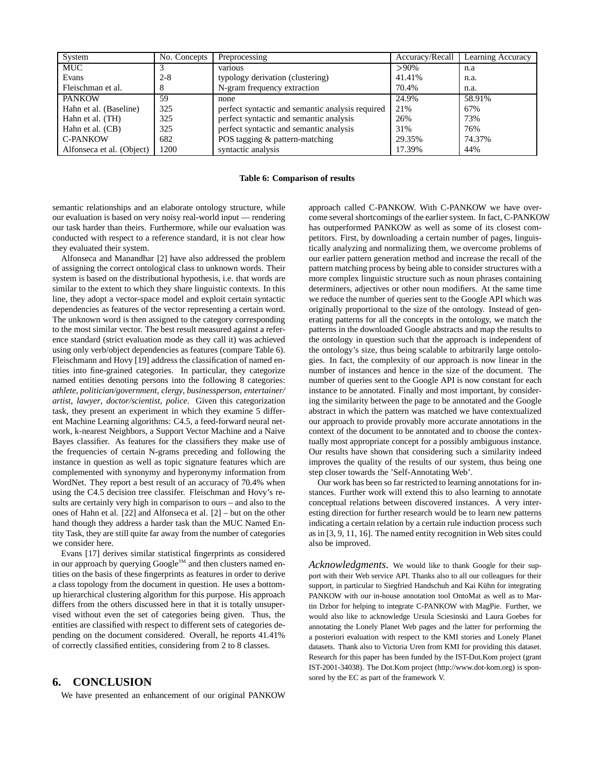| System                    | No. Concepts | Preprocessing                                    | Accuracy/Recall | Learning Accuracy |
|---------------------------|--------------|--------------------------------------------------|-----------------|-------------------|
| <b>MUC</b>                |              | various                                          | $>90\%$         | n.a               |
| Evans                     | $2 - 8$      | typology derivation (clustering)                 | 41.41%          | n.a.              |
| Fleischman et al.         | 8            | N-gram frequency extraction                      | 70.4%           | n.a.              |
| <b>PANKOW</b>             | 59           | none                                             | 24.9%           | 58.91%            |
| Hahn et al. (Baseline)    | 325          | perfect syntactic and semantic analysis required | 21%             | 67%               |
| Hahn et al. (TH)          | 325          | perfect syntactic and semantic analysis          | 26%             | 73%               |
| Hahn et al. (CB)          | 325          | perfect syntactic and semantic analysis          | 31%             | 76%               |
| <b>C-PANKOW</b>           | 682          | POS tagging & pattern-matching                   | 29.35%          | 74.37%            |
| Alfonseca et al. (Object) | 1200         | syntactic analysis                               | 17.39%          | 44%               |

#### **Table 6: Comparison of results**

semantic relationships and an elaborate ontology structure, while our evaluation is based on very noisy real-world input — rendering our task harder than theirs. Furthermore, while our evaluation was conducted with respect to a reference standard, it is not clear how they evaluated their system.

Alfonseca and Manandhar [2] have also addressed the problem of assigning the correct ontological class to unknown words. Their system is based on the distributional hypothesis, i.e. that words are similar to the extent to which they share linguistic contexts. In this line, they adopt a vector-space model and exploit certain syntactic dependencies as features of the vector representing a certain word. The unknown word is then assigned to the category corresponding to the most similar vector. The best result measured against a reference standard (strict evaluation mode as they call it) was achieved using only verb/object dependencies as features (compare Table 6). Fleischmann and Hovy [19] address the classification of named entities into fine-grained categories. In particular, they categorize named entities denoting persons into the following 8 categories: *athlete*, *politician/government*, *clergy*, *businessperson*, *entertainer/ artist*, *lawyer*, *doctor/scientist*, *police*. Given this categorization task, they present an experiment in which they examine 5 different Machine Learning algorithms: C4.5, a feed-forward neural network, k-nearest Neighbors, a Support Vector Machine and a Naive Bayes classifier. As features for the classifiers they make use of the frequencies of certain N-grams preceding and following the instance in question as well as topic signature features which are complemented with synonymy and hyperonymy information from WordNet. They report a best result of an accuracy of 70.4% when using the C4.5 decision tree classifer. Fleischman and Hovy's results are certainly very high in comparison to ours – and also to the ones of Hahn et al. [22] and Alfonseca et al. [2] – but on the other hand though they address a harder task than the MUC Named Entity Task, they are still quite far away from the number of categories we consider here.

Evans [17] derives similar statistical fingerprints as considered in our approach by querying  $Google^{TM}$  and then clusters named entities on the basis of these fingerprints as features in order to derive a class topology from the document in question. He uses a bottomup hierarchical clustering algorithm for this purpose. His approach differs from the others discussed here in that it is totally unsupervised without even the set of categories being given. Thus, the entities are classified with respect to different sets of categories depending on the document considered. Overall, he reports 41.41% of correctly classified entities, considering from 2 to 8 classes.

# **6. CONCLUSION**

We have presented an enhancement of our original PANKOW

approach called C-PANKOW. With C-PANKOW we have overcome several shortcomings of the earlier system. In fact, C-PANKOW has outperformed PANKOW as well as some of its closest competitors. First, by downloading a certain number of pages, linguistically analyzing and normalizing them, we overcome problems of our earlier pattern generation method and increase the recall of the pattern matching process by being able to consider structures with a more complex linguistic structure such as noun phrases containing determiners, adjectives or other noun modifiers. At the same time we reduce the number of queries sent to the Google API which was originally proportional to the size of the ontology. Instead of generating patterns for all the concepts in the ontology, we match the patterns in the downloaded Google abstracts and map the results to the ontology in question such that the approach is independent of the ontology's size, thus being scalable to arbitrarily large ontologies. In fact, the complexity of our approach is now linear in the number of instances and hence in the size of the document. The number of queries sent to the Google API is now constant for each instance to be annotated. Finally and most important, by considering the similarity between the page to be annotated and the Google abstract in which the pattern was matched we have contextualized our approach to provide provably more accurate annotations in the context of the document to be annotated and to choose the contextually most appropriate concept for a possibly ambiguous instance. Our results have shown that considering such a similarity indeed improves the quality of the results of our system, thus being one step closer towards the 'Self-Annotating Web'.

Our work has been so far restricted to learning annotations for instances. Further work will extend this to also learning to annotate conceptual relations between discovered instances. A very interesting direction for further research would be to learn new patterns indicating a certain relation by a certain rule induction process such as in [3, 9, 11, 16]. The named entity recognition in Web sites could also be improved.

*Acknowledgments.* We would like to thank Google for their support with their Web service API. Thanks also to all our colleagues for their support, in particular to Siegfried Handschuh and Kai Kühn for integrating PANKOW with our in-house annotation tool OntoMat as well as to Martin Dzbor for helping to integrate C-PANKOW with MagPie. Further, we would also like to acknowledge Ursula Sciesinski and Laura Goebes for annotating the Lonely Planet Web pages and the latter for performing the a posteriori evaluation with respect to the KMI stories and Lonely Planet datasets. Thank also to Victoria Uren from KMI for providing this dataset. Research for this paper has been funded by the IST-Dot.Kom project (grant IST-2001-34038). The Dot.Kom project (http://www.dot-kom.org) is sponsored by the EC as part of the framework V.